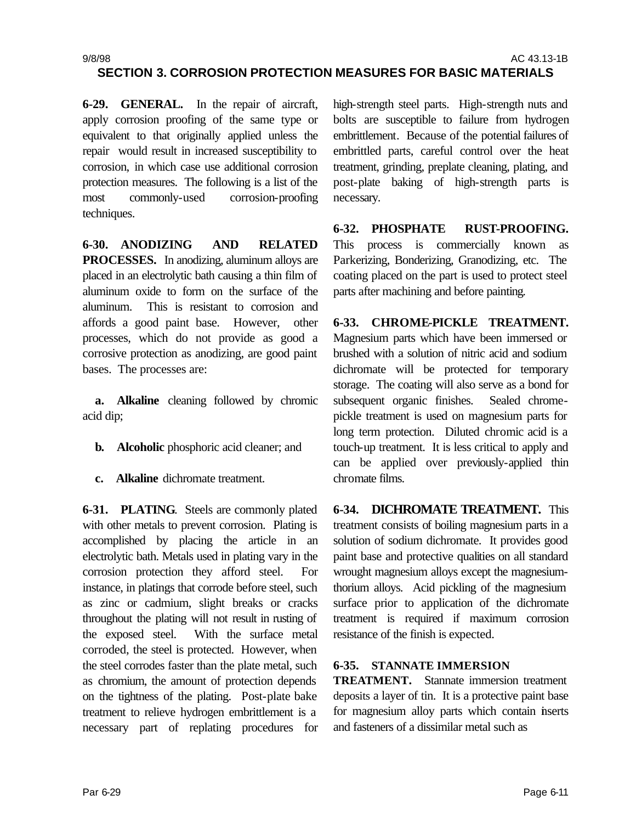**SECTION 3. CORROSION PROTECTION MEASURES FOR BASIC MATERIALS**

**6-29. GENERAL.** In the repair of aircraft, apply corrosion proofing of the same type or equivalent to that originally applied unless the repair would result in increased susceptibility to corrosion, in which case use additional corrosion protection measures. The following is a list of the most commonly-used corrosion-proofing techniques.

**6-30. ANODIZING AND RELATED PROCESSES.** In anodizing, aluminum alloys are placed in an electrolytic bath causing a thin film of aluminum oxide to form on the surface of the aluminum. This is resistant to corrosion and affords a good paint base. However, other processes, which do not provide as good a corrosive protection as anodizing, are good paint bases. The processes are:

**a. Alkaline** cleaning followed by chromic acid dip;

- **b. Alcoholic** phosphoric acid cleaner; and
- **c. Alkaline** dichromate treatment.

**6-31. PLATING**. Steels are commonly plated with other metals to prevent corrosion. Plating is accomplished by placing the article in an electrolytic bath. Metals used in plating vary in the corrosion protection they afford steel. For instance, in platings that corrode before steel, such as zinc or cadmium, slight breaks or cracks throughout the plating will not result in rusting of the exposed steel. With the surface metal corroded, the steel is protected. However, when the steel corrodes faster than the plate metal, such as chromium, the amount of protection depends on the tightness of the plating. Post-plate bake treatment to relieve hydrogen embrittlement is a necessary part of replating procedures for

high-strength steel parts. High-strength nuts and bolts are susceptible to failure from hydrogen embrittlement. Because of the potential failures of embrittled parts, careful control over the heat treatment, grinding, preplate cleaning, plating, and post-plate baking of high-strength parts is necessary.

**6-32. PHOSPHATE RUST-PROOFING.** This process is commercially known as Parkerizing, Bonderizing, Granodizing, etc. The coating placed on the part is used to protect steel parts after machining and before painting.

**6-33. CHROME-PICKLE TREATMENT.**  Magnesium parts which have been immersed or brushed with a solution of nitric acid and sodium dichromate will be protected for temporary storage. The coating will also serve as a bond for subsequent organic finishes. Sealed chromepickle treatment is used on magnesium parts for long term protection. Diluted chromic acid is a touch-up treatment. It is less critical to apply and can be applied over previously-applied thin chromate films.

**6-34. DICHROMATE TREATMENT.** This treatment consists of boiling magnesium parts in a solution of sodium dichromate. It provides good paint base and protective qualities on all standard wrought magnesium alloys except the magnesiumthorium alloys. Acid pickling of the magnesium surface prior to application of the dichromate treatment is required if maximum corrosion resistance of the finish is expected.

## **6-35. STANNATE IMMERSION**

**TREATMENT.** Stannate immersion treatment deposits a layer of tin. It is a protective paint base for magnesium alloy parts which contain inserts and fasteners of a dissimilar metal such as